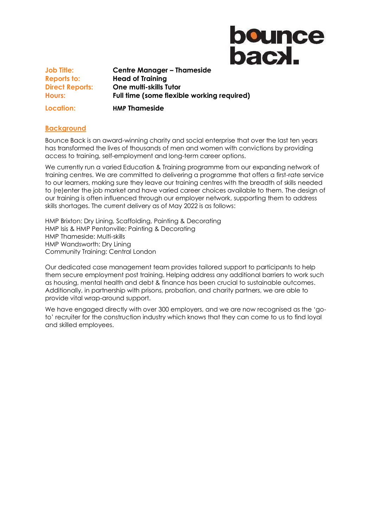

**Job Title: Centre Manager – Thameside Reports to: Head of Training Direct Reports: One multi-skills Tutor Hours: Full time (some flexible working required) Location: HMP Thameside** 

### **Background**

Bounce Back is an award-winning charity and social enterprise that over the last ten years has transformed the lives of thousands of men and women with convictions by providing access to training, self-employment and long-term career options.

We currently run a varied Education & Training programme from our expanding network of training centres. We are committed to delivering a programme that offers a first-rate service to our learners, making sure they leave our training centres with the breadth of skills needed to (re)enter the job market and have varied career choices available to them. The design of our training is often influenced through our employer network, supporting them to address skills shortages. The current delivery as of May 2022 is as follows:

HMP Brixton: Dry Lining, Scaffolding, Painting & Decorating HMP Isis & HMP Pentonville: Painting & Decorating HMP Thameside: Multi-skills HMP Wandsworth: Dry Lining Community Training: Central London

Our dedicated case management team provides tailored support to participants to help them secure employment post training. Helping address any additional barriers to work such as housing, mental health and debt & finance has been crucial to sustainable outcomes. Additionally, in partnership with prisons, probation, and charity partners, we are able to provide vital wrap-around support.

We have engaged directly with over 300 employers, and we are now recognised as the 'goto' recruiter for the construction industry which knows that they can come to us to find loyal and skilled employees.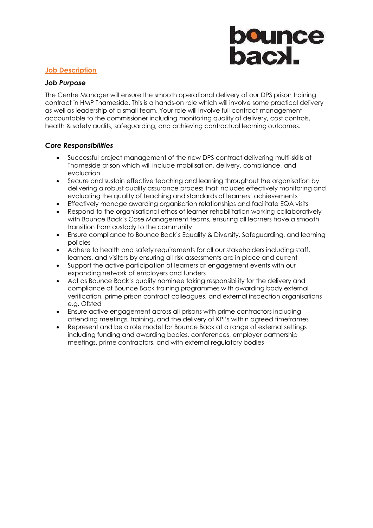## **bounce**<br>bacxl.

### **Job Description**

### *Job Purpose*

The Centre Manager will ensure the smooth operational delivery of our DPS prison training contract in HMP Thameside. This is a hands-on role which will involve some practical delivery as well as leadership of a small team. Your role will involve full contract management accountable to the commissioner including monitoring quality of delivery, cost controls, health & safety audits, safeguarding, and achieving contractual learning outcomes.

### *Core Responsibilities*

- Successful project management of the new DPS contract delivering multi-skills at Thameside prison which will include mobilisation, delivery, compliance, and evaluation
- Secure and sustain effective teaching and learning throughout the organisation by delivering a robust quality assurance process that includes effectively monitoring and evaluating the quality of teaching and standards of learners' achievements
- Effectively manage awarding organisation relationships and facilitate EQA visits
- Respond to the organisational ethos of learner rehabilitation working collaboratively with Bounce Back's Case Management teams, ensuring all learners have a smooth transition from custody to the community
- Ensure compliance to Bounce Back's Equality & Diversity, Safeguarding, and learning policies
- Adhere to health and safety requirements for all our stakeholders including staff, learners, and visitors by ensuring all risk assessments are in place and current
- Support the active participation of learners at engagement events with our expanding network of employers and funders
- Act as Bounce Back's quality nominee taking responsibility for the delivery and compliance of Bounce Back training programmes with awarding body external verification, prime prison contract colleagues, and external inspection organisations e.g. Ofsted
- Ensure active engagement across all prisons with prime contractors including attending meetings, training, and the delivery of KPI's within agreed timeframes
- Represent and be a role model for Bounce Back at a range of external settings including funding and awarding bodies, conferences, employer partnership meetings, prime contractors, and with external regulatory bodies